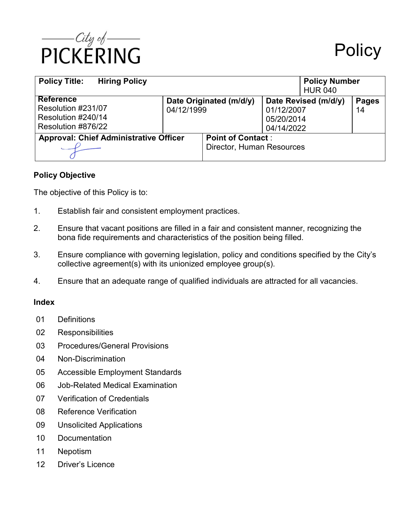

| <b>Policy Title:</b><br><b>Hiring Policy</b>                                       |                                       |                                                       |                                                                | <b>Policy Number</b><br><b>HUR 040</b> |                    |
|------------------------------------------------------------------------------------|---------------------------------------|-------------------------------------------------------|----------------------------------------------------------------|----------------------------------------|--------------------|
| <b>Reference</b><br>Resolution #231/07<br>Resolution #240/14<br>Resolution #876/22 | Date Originated (m/d/y)<br>04/12/1999 |                                                       | Date Revised (m/d/y)<br>01/12/2007<br>05/20/2014<br>04/14/2022 |                                        | <b>Pages</b><br>14 |
| <b>Approval: Chief Administrative Officer</b>                                      |                                       | <b>Point of Contact:</b><br>Director, Human Resources |                                                                |                                        |                    |

## **Policy Objective**

The objective of this Policy is to:

- 1. Establish fair and consistent employment practices.
- 2. Ensure that vacant positions are filled in a fair and consistent manner, recognizing the bona fide requirements and characteristics of the position being filled.
- 3. Ensure compliance with governing legislation, policy and conditions specified by the City's collective agreement(s) with its unionized employee group(s).
- 4. Ensure that an adequate range of qualified individuals are attracted for all vacancies.

## **Index**

- 01 Definitions
- 02 Responsibilities
- 03 Procedures/General Provisions
- 04 Non-Discrimination
- 05 Accessible Employment Standards
- 06 Job-Related Medical Examination
- 07 Verification of Credentials
- 08 Reference Verification
- 09 Unsolicited Applications
- 10 Documentation
- 11 Nepotism
- 12 Driver's Licence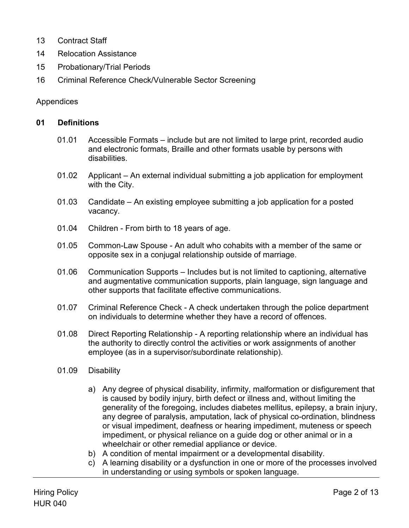- 13 Contract Staff
- 14 Relocation Assistance
- 15 Probationary/Trial Periods
- 16 Criminal Reference Check/Vulnerable Sector Screening

#### Appendices

#### **01 Definitions**

- 01.01 Accessible Formats include but are not limited to large print, recorded audio and electronic formats, Braille and other formats usable by persons with disabilities.
- 01.02 Applicant An external individual submitting a job application for employment with the City.
- 01.03 Candidate An existing employee submitting a job application for a posted vacancy.
- 01.04 Children From birth to 18 years of age.
- 01.05 Common-Law Spouse An adult who cohabits with a member of the same or opposite sex in a conjugal relationship outside of marriage.
- 01.06 Communication Supports Includes but is not limited to captioning, alternative and augmentative communication supports, plain language, sign language and other supports that facilitate effective communications.
- 01.07 Criminal Reference Check A check undertaken through the police department on individuals to determine whether they have a record of offences.
- 01.08 Direct Reporting Relationship A reporting relationship where an individual has the authority to directly control the activities or work assignments of another employee (as in a supervisor/subordinate relationship).
- 01.09 Disability
	- a) Any degree of physical disability, infirmity, malformation or disfigurement that is caused by bodily injury, birth defect or illness and, without limiting the generality of the foregoing, includes diabetes mellitus, epilepsy, a brain injury, any degree of paralysis, amputation, lack of physical co-ordination, blindness or visual impediment, deafness or hearing impediment, muteness or speech impediment, or physical reliance on a guide dog or other animal or in a wheelchair or other remedial appliance or device.
	- b) A condition of mental impairment or a developmental disability.
	- c) A learning disability or a dysfunction in one or more of the processes involved in understanding or using symbols or spoken language.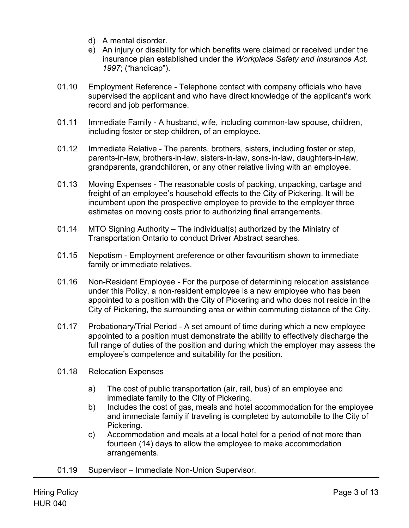- d) A mental disorder.
- e) An injury or disability for which benefits were claimed or received under the insurance plan established under the *Workplace Safety and Insurance Act, 1997*; ("handicap").
- 01.10 Employment Reference Telephone contact with company officials who have supervised the applicant and who have direct knowledge of the applicant's work record and job performance.
- 01.11 Immediate Family A husband, wife, including common-law spouse, children, including foster or step children, of an employee.
- 01.12 Immediate Relative The parents, brothers, sisters, including foster or step, parents-in-law, brothers-in-law, sisters-in-law, sons-in-law, daughters-in-law, grandparents, grandchildren, or any other relative living with an employee.
- 01.13 Moving Expenses The reasonable costs of packing, unpacking, cartage and freight of an employee's household effects to the City of Pickering. It will be incumbent upon the prospective employee to provide to the employer three estimates on moving costs prior to authorizing final arrangements.
- 01.14 MTO Signing Authority The individual(s) authorized by the Ministry of Transportation Ontario to conduct Driver Abstract searches.
- 01.15 Nepotism Employment preference or other favouritism shown to immediate family or immediate relatives.
- 01.16 Non-Resident Employee For the purpose of determining relocation assistance under this Policy, a non-resident employee is a new employee who has been appointed to a position with the City of Pickering and who does not reside in the City of Pickering, the surrounding area or within commuting distance of the City.
- 01.17 Probationary/Trial Period A set amount of time during which a new employee appointed to a position must demonstrate the ability to effectively discharge the full range of duties of the position and during which the employer may assess the employee's competence and suitability for the position.
- 01.18 Relocation Expenses
	- a) The cost of public transportation (air, rail, bus) of an employee and immediate family to the City of Pickering.
	- b) Includes the cost of gas, meals and hotel accommodation for the employee and immediate family if traveling is completed by automobile to the City of Pickering.
	- c) Accommodation and meals at a local hotel for a period of not more than fourteen (14) days to allow the employee to make accommodation arrangements.
- 01.19 Supervisor Immediate Non-Union Supervisor.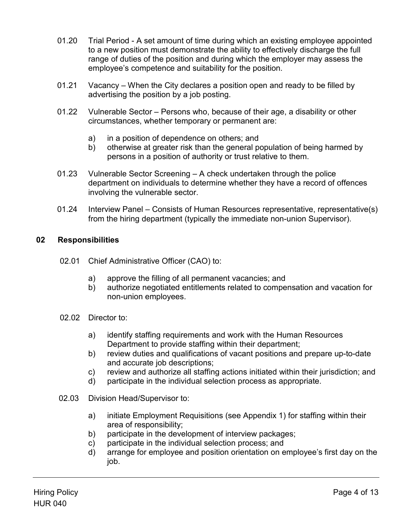- 01.20 Trial Period A set amount of time during which an existing employee appointed to a new position must demonstrate the ability to effectively discharge the full range of duties of the position and during which the employer may assess the employee's competence and suitability for the position.
- 01.21 Vacancy When the City declares a position open and ready to be filled by advertising the position by a job posting.
- 01.22 Vulnerable Sector Persons who, because of their age, a disability or other circumstances, whether temporary or permanent are:
	- a) in a position of dependence on others; and
	- b) otherwise at greater risk than the general population of being harmed by persons in a position of authority or trust relative to them.
- 01.23 Vulnerable Sector Screening A check undertaken through the police department on individuals to determine whether they have a record of offences involving the vulnerable sector.
- 01.24 Interview Panel Consists of Human Resources representative, representative(s) from the hiring department (typically the immediate non-union Supervisor).

# **02 Responsibilities**

- 02.01 Chief Administrative Officer (CAO) to:
	- a) approve the filling of all permanent vacancies; and
	- b) authorize negotiated entitlements related to compensation and vacation for non-union employees.
- 02.02 Director to:
	- a) identify staffing requirements and work with the Human Resources Department to provide staffing within their department;
	- b) review duties and qualifications of vacant positions and prepare up-to-date and accurate job descriptions;
	- c) review and authorize all staffing actions initiated within their jurisdiction; and
	- d) participate in the individual selection process as appropriate.
- 02.03 Division Head/Supervisor to:
	- a) initiate Employment Requisitions (see Appendix 1) for staffing within their area of responsibility;
	- b) participate in the development of interview packages;
	- c) participate in the individual selection process; and
	- d) arrange for employee and position orientation on employee's first day on the job.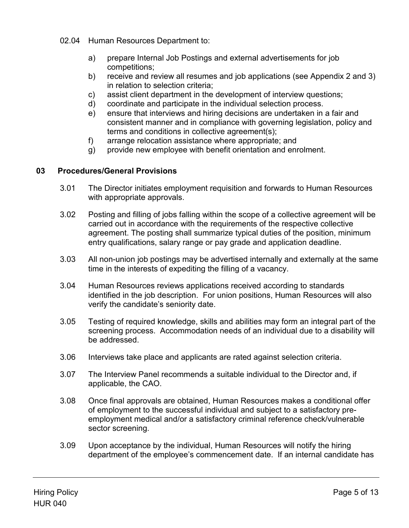- 02.04 Human Resources Department to:
	- a) prepare Internal Job Postings and external advertisements for job competitions;
	- b) receive and review all resumes and job applications (see Appendix 2 and 3) in relation to selection criteria;
	- c) assist client department in the development of interview questions;
	- d) coordinate and participate in the individual selection process.
	- e) ensure that interviews and hiring decisions are undertaken in a fair and consistent manner and in compliance with governing legislation, policy and terms and conditions in collective agreement(s);
	- f) arrange relocation assistance where appropriate; and
	- g) provide new employee with benefit orientation and enrolment.

## **03 Procedures/General Provisions**

- 3.01 The Director initiates employment requisition and forwards to Human Resources with appropriate approvals.
- 3.02 Posting and filling of jobs falling within the scope of a collective agreement will be carried out in accordance with the requirements of the respective collective agreement. The posting shall summarize typical duties of the position, minimum entry qualifications, salary range or pay grade and application deadline.
- 3.03 All non-union job postings may be advertised internally and externally at the same time in the interests of expediting the filling of a vacancy.
- 3.04 Human Resources reviews applications received according to standards identified in the job description. For union positions, Human Resources will also verify the candidate's seniority date.
- 3.05 Testing of required knowledge, skills and abilities may form an integral part of the screening process. Accommodation needs of an individual due to a disability will be addressed.
- 3.06 Interviews take place and applicants are rated against selection criteria.
- 3.07 The Interview Panel recommends a suitable individual to the Director and, if applicable, the CAO.
- 3.08 Once final approvals are obtained, Human Resources makes a conditional offer of employment to the successful individual and subject to a satisfactory preemployment medical and/or a satisfactory criminal reference check/vulnerable sector screening.
- 3.09 Upon acceptance by the individual, Human Resources will notify the hiring department of the employee's commencement date. If an internal candidate has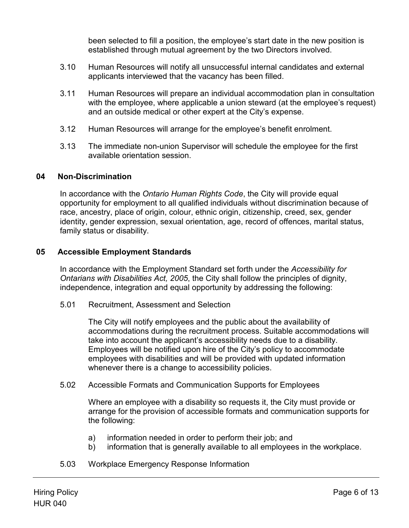been selected to fill a position, the employee's start date in the new position is established through mutual agreement by the two Directors involved.

- 3.10 Human Resources will notify all unsuccessful internal candidates and external applicants interviewed that the vacancy has been filled.
- 3.11 Human Resources will prepare an individual accommodation plan in consultation with the employee, where applicable a union steward (at the employee's request) and an outside medical or other expert at the City's expense.
- 3.12 Human Resources will arrange for the employee's benefit enrolment.
- 3.13 The immediate non-union Supervisor will schedule the employee for the first available orientation session.

# **04 Non-Discrimination**

In accordance with the *Ontario Human Rights Code*, the City will provide equal opportunity for employment to all qualified individuals without discrimination because of race, ancestry, place of origin, colour, ethnic origin, citizenship, creed, sex, gender identity, gender expression, sexual orientation, age, record of offences, marital status, family status or disability.

# **05 Accessible Employment Standards**

In accordance with the Employment Standard set forth under the *Accessibility for Ontarians with Disabilities Act, 2005*, the City shall follow the principles of dignity, independence, integration and equal opportunity by addressing the following:

5.01 Recruitment, Assessment and Selection

The City will notify employees and the public about the availability of accommodations during the recruitment process. Suitable accommodations will take into account the applicant's accessibility needs due to a disability. Employees will be notified upon hire of the City's policy to accommodate employees with disabilities and will be provided with updated information whenever there is a change to accessibility policies.

5.02 Accessible Formats and Communication Supports for Employees

Where an employee with a disability so requests it, the City must provide or arrange for the provision of accessible formats and communication supports for the following:

- a) information needed in order to perform their job; and
- b) information that is generally available to all employees in the workplace.
- 5.03 Workplace Emergency Response Information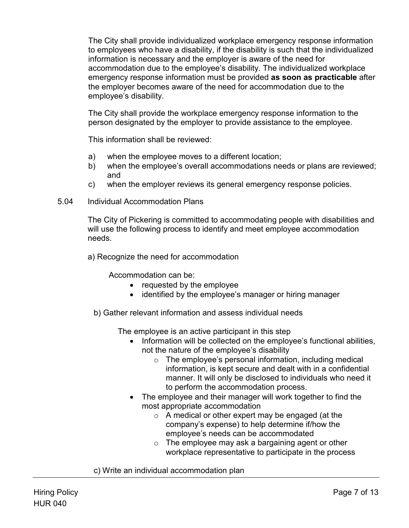The City shall provide individualized workplace emergency response information to employees who have a disability, if the disability is such that the individualized information is necessary and the employer is aware of the need for accommodation due to the employee's disability. The individualized workplace emergency response information must be provided **as soon as practicable** after the employer becomes aware of the need for accommodation due to the employee's disability.

The City shall provide the workplace emergency response information to the person designated by the employer to provide assistance to the employee.

This information shall be reviewed:

- a) when the employee moves to a different location;
- b) when the employee's overall accommodations needs or plans are reviewed; and
- c) when the employer reviews its general emergency response policies.
- 5.04 Individual Accommodation Plans

The City of Pickering is committed to accommodating people with disabilities and will use the following process to identify and meet employee accommodation needs.

a) Recognize the need for accommodation

Accommodation can be:

- requested by the employee
- identified by the employee's manager or hiring manager
- b) Gather relevant information and assess individual needs

The employee is an active participant in this step

- Information will be collected on the employee's functional abilities, not the nature of the employee's disability
	- o The employee's personal information, including medical information, is kept secure and dealt with in a confidential manner. It will only be disclosed to individuals who need it to perform the accommodation process.
- The employee and their manager will work together to find the most appropriate accommodation
	- o A medical or other expert may be engaged (at the company's expense) to help determine if/how the employee's needs can be accommodated
	- $\circ$  The employee may ask a bargaining agent or other workplace representative to participate in the process

c) Write an individual accommodation plan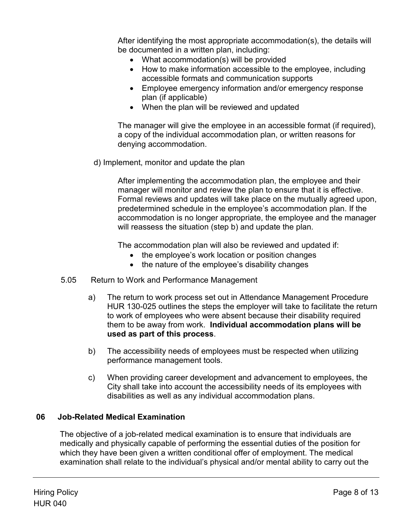After identifying the most appropriate accommodation(s), the details will be documented in a written plan, including:

- What accommodation(s) will be provided
- How to make information accessible to the employee, including accessible formats and communication supports
- Employee emergency information and/or emergency response plan (if applicable)
- When the plan will be reviewed and updated

The manager will give the employee in an accessible format (if required), a copy of the individual accommodation plan, or written reasons for denying accommodation.

d) Implement, monitor and update the plan

After implementing the accommodation plan, the employee and their manager will monitor and review the plan to ensure that it is effective. Formal reviews and updates will take place on the mutually agreed upon, predetermined schedule in the employee's accommodation plan. If the accommodation is no longer appropriate, the employee and the manager will reassess the situation (step b) and update the plan.

The accommodation plan will also be reviewed and updated if:

- the employee's work location or position changes
- the nature of the employee's disability changes
- 5.05 Return to Work and Performance Management
	- a) The return to work process set out in Attendance Management Procedure HUR 130-025 outlines the steps the employer will take to facilitate the return to work of employees who were absent because their disability required them to be away from work. **Individual accommodation plans will be used as part of this process**.
	- b) The accessibility needs of employees must be respected when utilizing performance management tools.
	- c) When providing career development and advancement to employees, the City shall take into account the accessibility needs of its employees with disabilities as well as any individual accommodation plans.

# **06 Job-Related Medical Examination**

The objective of a job-related medical examination is to ensure that individuals are medically and physically capable of performing the essential duties of the position for which they have been given a written conditional offer of employment. The medical examination shall relate to the individual's physical and/or mental ability to carry out the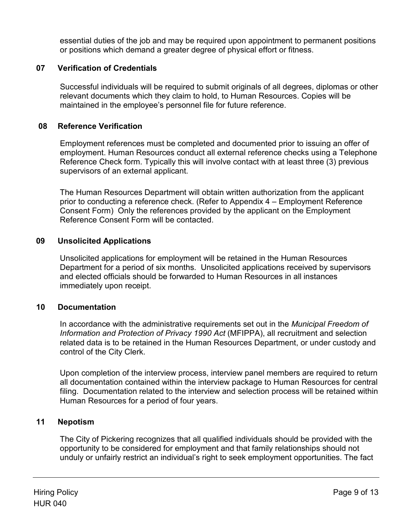essential duties of the job and may be required upon appointment to permanent positions or positions which demand a greater degree of physical effort or fitness.

## **07 Verification of Credentials**

Successful individuals will be required to submit originals of all degrees, diplomas or other relevant documents which they claim to hold, to Human Resources. Copies will be maintained in the employee's personnel file for future reference.

## **08 Reference Verification**

Employment references must be completed and documented prior to issuing an offer of employment. Human Resources conduct all external reference checks using a Telephone Reference Check form. Typically this will involve contact with at least three (3) previous supervisors of an external applicant.

The Human Resources Department will obtain written authorization from the applicant prior to conducting a reference check. (Refer to Appendix 4 – Employment Reference Consent Form) Only the references provided by the applicant on the Employment Reference Consent Form will be contacted.

# **09 Unsolicited Applications**

Unsolicited applications for employment will be retained in the Human Resources Department for a period of six months. Unsolicited applications received by supervisors and elected officials should be forwarded to Human Resources in all instances immediately upon receipt.

## **10 Documentation**

In accordance with the administrative requirements set out in the *Municipal Freedom of Information and Protection of Privacy 1990 Act* (MFIPPA), all recruitment and selection related data is to be retained in the Human Resources Department, or under custody and control of the City Clerk.

Upon completion of the interview process, interview panel members are required to return all documentation contained within the interview package to Human Resources for central filing. Documentation related to the interview and selection process will be retained within Human Resources for a period of four years.

## **11 Nepotism**

The City of Pickering recognizes that all qualified individuals should be provided with the opportunity to be considered for employment and that family relationships should not unduly or unfairly restrict an individual's right to seek employment opportunities. The fact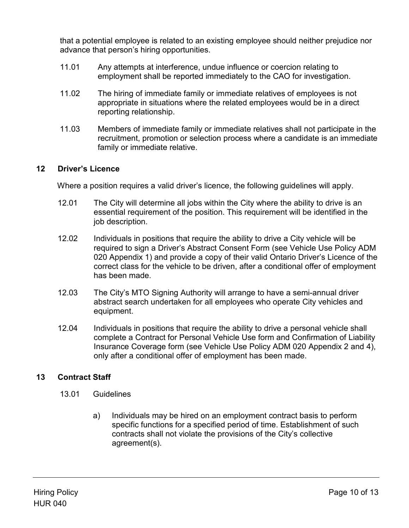that a potential employee is related to an existing employee should neither prejudice nor advance that person's hiring opportunities.

- 11.01 Any attempts at interference, undue influence or coercion relating to employment shall be reported immediately to the CAO for investigation.
- 11.02 The hiring of immediate family or immediate relatives of employees is not appropriate in situations where the related employees would be in a direct reporting relationship.
- 11.03 Members of immediate family or immediate relatives shall not participate in the recruitment, promotion or selection process where a candidate is an immediate family or immediate relative.

# **12 Driver's Licence**

Where a position requires a valid driver's licence, the following guidelines will apply.

- 12.01 The City will determine all jobs within the City where the ability to drive is an essential requirement of the position. This requirement will be identified in the job description.
- 12.02 Individuals in positions that require the ability to drive a City vehicle will be required to sign a Driver's Abstract Consent Form (see Vehicle Use Policy ADM 020 Appendix 1) and provide a copy of their valid Ontario Driver's Licence of the correct class for the vehicle to be driven, after a conditional offer of employment has been made.
- 12.03 The City's MTO Signing Authority will arrange to have a semi-annual driver abstract search undertaken for all employees who operate City vehicles and equipment.
- 12.04 Individuals in positions that require the ability to drive a personal vehicle shall complete a Contract for Personal Vehicle Use form and Confirmation of Liability Insurance Coverage form (see Vehicle Use Policy ADM 020 Appendix 2 and 4), only after a conditional offer of employment has been made.

# **13 Contract Staff**

- 13.01 Guidelines
	- a) Individuals may be hired on an employment contract basis to perform specific functions for a specified period of time. Establishment of such contracts shall not violate the provisions of the City's collective agreement(s).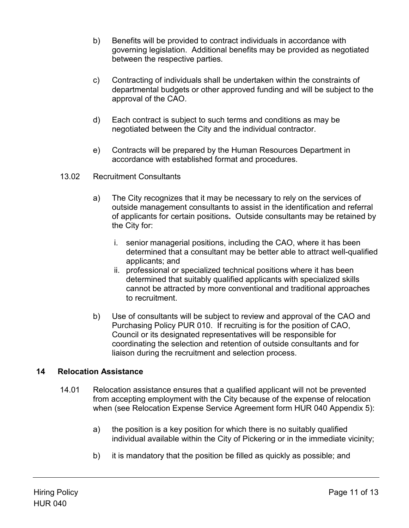- b) Benefits will be provided to contract individuals in accordance with governing legislation. Additional benefits may be provided as negotiated between the respective parties.
- c) Contracting of individuals shall be undertaken within the constraints of departmental budgets or other approved funding and will be subject to the approval of the CAO.
- d) Each contract is subject to such terms and conditions as may be negotiated between the City and the individual contractor.
- e) Contracts will be prepared by the Human Resources Department in accordance with established format and procedures.
- 13.02 Recruitment Consultants
	- a) The City recognizes that it may be necessary to rely on the services of outside management consultants to assist in the identification and referral of applicants for certain positions**.** Outside consultants may be retained by the City for:
		- i. senior managerial positions, including the CAO, where it has been determined that a consultant may be better able to attract well-qualified applicants; and
		- ii. professional or specialized technical positions where it has been determined that suitably qualified applicants with specialized skills cannot be attracted by more conventional and traditional approaches to recruitment.
	- b) Use of consultants will be subject to review and approval of the CAO and Purchasing Policy PUR 010. If recruiting is for the position of CAO, Council or its designated representatives will be responsible for coordinating the selection and retention of outside consultants and for liaison during the recruitment and selection process.

## **14 Relocation Assistance**

- 14.01 Relocation assistance ensures that a qualified applicant will not be prevented from accepting employment with the City because of the expense of relocation when (see Relocation Expense Service Agreement form HUR 040 Appendix 5):
	- a) the position is a key position for which there is no suitably qualified individual available within the City of Pickering or in the immediate vicinity;
	- b) it is mandatory that the position be filled as quickly as possible; and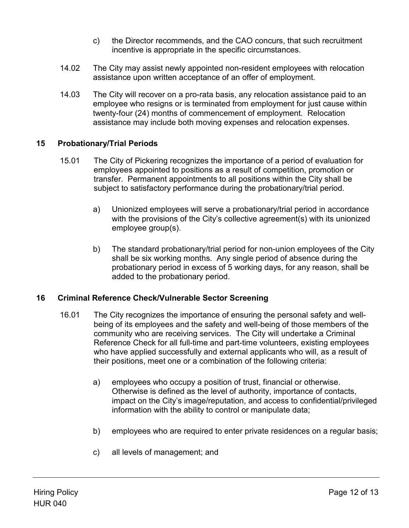- c) the Director recommends, and the CAO concurs, that such recruitment incentive is appropriate in the specific circumstances.
- 14.02 The City may assist newly appointed non-resident employees with relocation assistance upon written acceptance of an offer of employment.
- 14.03 The City will recover on a pro-rata basis, any relocation assistance paid to an employee who resigns or is terminated from employment for just cause within twenty-four (24) months of commencement of employment. Relocation assistance may include both moving expenses and relocation expenses.

## **15 Probationary/Trial Periods**

- 15.01 The City of Pickering recognizes the importance of a period of evaluation for employees appointed to positions as a result of competition, promotion or transfer. Permanent appointments to all positions within the City shall be subject to satisfactory performance during the probationary/trial period.
	- a) Unionized employees will serve a probationary/trial period in accordance with the provisions of the City's collective agreement(s) with its unionized employee group(s).
	- b) The standard probationary/trial period for non-union employees of the City shall be six working months. Any single period of absence during the probationary period in excess of 5 working days, for any reason, shall be added to the probationary period.

## **16 Criminal Reference Check/Vulnerable Sector Screening**

- 16.01 The City recognizes the importance of ensuring the personal safety and wellbeing of its employees and the safety and well-being of those members of the community who are receiving services. The City will undertake a Criminal Reference Check for all full-time and part-time volunteers, existing employees who have applied successfully and external applicants who will, as a result of their positions, meet one or a combination of the following criteria:
	- a) employees who occupy a position of trust, financial or otherwise. Otherwise is defined as the level of authority, importance of contacts, impact on the City's image/reputation, and access to confidential/privileged information with the ability to control or manipulate data;
	- b) employees who are required to enter private residences on a regular basis;
	- c) all levels of management; and